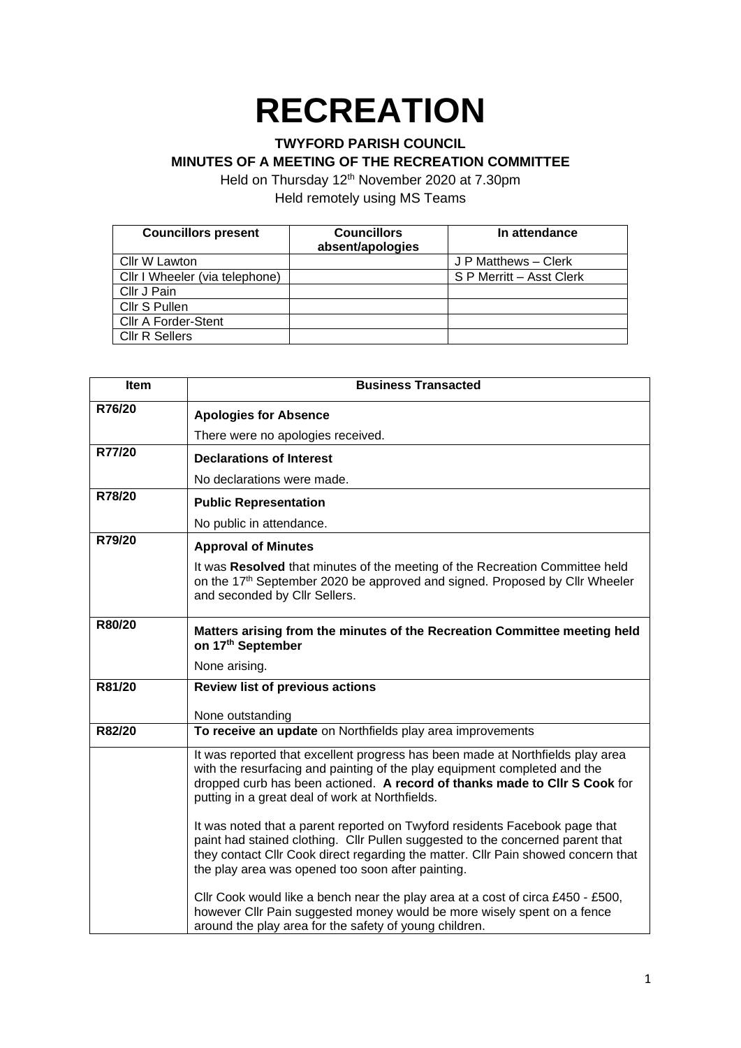## **RECREATION**

## **TWYFORD PARISH COUNCIL**

**MINUTES OF A MEETING OF THE RECREATION COMMITTEE**

Held on Thursday 12<sup>th</sup> November 2020 at 7.30pm Held remotely using MS Teams

| <b>Councillors present</b>     | <b>Councillors</b> | In attendance            |
|--------------------------------|--------------------|--------------------------|
|                                | absent/apologies   |                          |
| Cllr W Lawton                  |                    | J P Matthews - Clerk     |
| Cllr I Wheeler (via telephone) |                    | S P Merritt - Asst Clerk |
| Cllr J Pain                    |                    |                          |
| Cllr S Pullen                  |                    |                          |
| <b>CIIr A Forder-Stent</b>     |                    |                          |
| <b>CIIr R Sellers</b>          |                    |                          |

| <b>Item</b> | <b>Business Transacted</b>                                                                                                                                                                                                                                                                              |  |
|-------------|---------------------------------------------------------------------------------------------------------------------------------------------------------------------------------------------------------------------------------------------------------------------------------------------------------|--|
| R76/20      | <b>Apologies for Absence</b>                                                                                                                                                                                                                                                                            |  |
|             | There were no apologies received.                                                                                                                                                                                                                                                                       |  |
| R77/20      | <b>Declarations of Interest</b>                                                                                                                                                                                                                                                                         |  |
|             | No declarations were made.                                                                                                                                                                                                                                                                              |  |
| R78/20      | <b>Public Representation</b>                                                                                                                                                                                                                                                                            |  |
|             | No public in attendance.                                                                                                                                                                                                                                                                                |  |
| R79/20      | <b>Approval of Minutes</b>                                                                                                                                                                                                                                                                              |  |
|             | It was Resolved that minutes of the meeting of the Recreation Committee held<br>on the 17th September 2020 be approved and signed. Proposed by Cllr Wheeler<br>and seconded by Cllr Sellers.                                                                                                            |  |
| R80/20      | Matters arising from the minutes of the Recreation Committee meeting held<br>on 17th September                                                                                                                                                                                                          |  |
|             | None arising.                                                                                                                                                                                                                                                                                           |  |
| R81/20      | <b>Review list of previous actions</b>                                                                                                                                                                                                                                                                  |  |
|             | None outstanding                                                                                                                                                                                                                                                                                        |  |
| R82/20      | To receive an update on Northfields play area improvements                                                                                                                                                                                                                                              |  |
|             | It was reported that excellent progress has been made at Northfields play area<br>with the resurfacing and painting of the play equipment completed and the<br>dropped curb has been actioned. A record of thanks made to CIIr S Cook for<br>putting in a great deal of work at Northfields.            |  |
|             | It was noted that a parent reported on Twyford residents Facebook page that<br>paint had stained clothing. Cllr Pullen suggested to the concerned parent that<br>they contact Cllr Cook direct regarding the matter. Cllr Pain showed concern that<br>the play area was opened too soon after painting. |  |
|             | Cllr Cook would like a bench near the play area at a cost of circa £450 - £500,<br>however Cllr Pain suggested money would be more wisely spent on a fence<br>around the play area for the safety of young children.                                                                                    |  |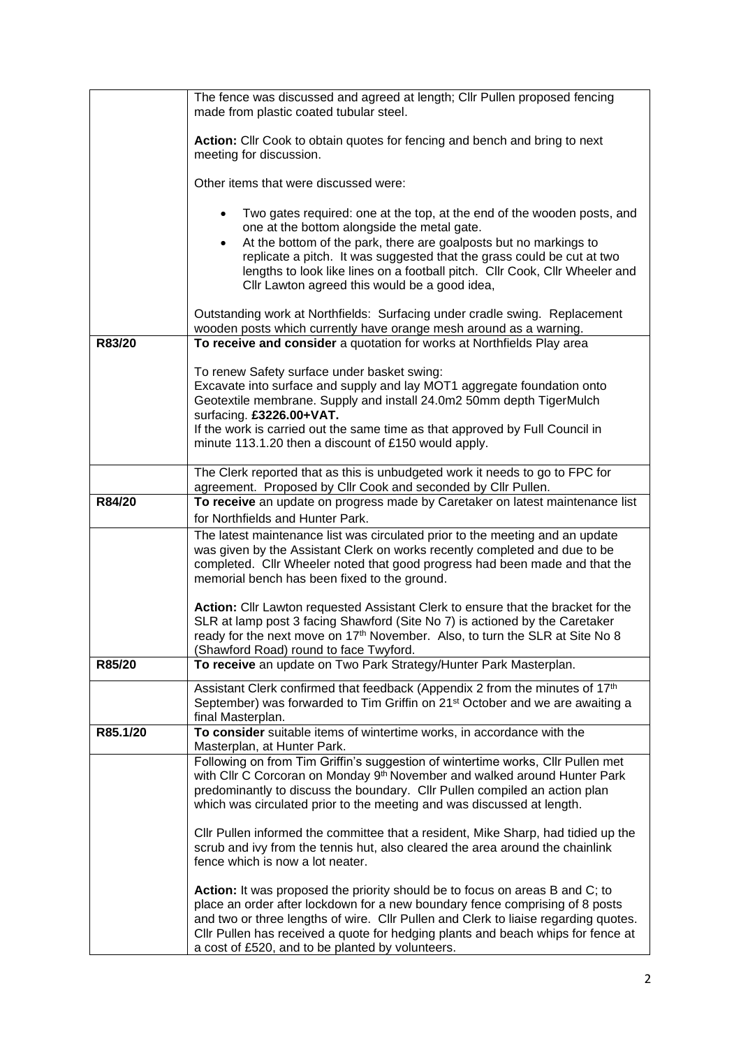|          | The fence was discussed and agreed at length; Cllr Pullen proposed fencing<br>made from plastic coated tubular steel.                                                                                                                                                                                                                                                                       |
|----------|---------------------------------------------------------------------------------------------------------------------------------------------------------------------------------------------------------------------------------------------------------------------------------------------------------------------------------------------------------------------------------------------|
|          | Action: Cllr Cook to obtain quotes for fencing and bench and bring to next<br>meeting for discussion.                                                                                                                                                                                                                                                                                       |
|          | Other items that were discussed were:                                                                                                                                                                                                                                                                                                                                                       |
|          | Two gates required: one at the top, at the end of the wooden posts, and<br>one at the bottom alongside the metal gate.                                                                                                                                                                                                                                                                      |
|          | At the bottom of the park, there are goalposts but no markings to<br>replicate a pitch. It was suggested that the grass could be cut at two<br>lengths to look like lines on a football pitch. Cllr Cook, Cllr Wheeler and<br>Cllr Lawton agreed this would be a good idea,                                                                                                                 |
|          | Outstanding work at Northfields: Surfacing under cradle swing. Replacement<br>wooden posts which currently have orange mesh around as a warning.                                                                                                                                                                                                                                            |
| R83/20   | To receive and consider a quotation for works at Northfields Play area                                                                                                                                                                                                                                                                                                                      |
|          | To renew Safety surface under basket swing:                                                                                                                                                                                                                                                                                                                                                 |
|          | Excavate into surface and supply and lay MOT1 aggregate foundation onto<br>Geotextile membrane. Supply and install 24.0m2 50mm depth TigerMulch<br>surfacing. £3226.00+VAT.                                                                                                                                                                                                                 |
|          | If the work is carried out the same time as that approved by Full Council in                                                                                                                                                                                                                                                                                                                |
|          | minute 113.1.20 then a discount of £150 would apply.                                                                                                                                                                                                                                                                                                                                        |
|          | The Clerk reported that as this is unbudgeted work it needs to go to FPC for                                                                                                                                                                                                                                                                                                                |
| R84/20   | agreement. Proposed by Cllr Cook and seconded by Cllr Pullen.<br>To receive an update on progress made by Caretaker on latest maintenance list                                                                                                                                                                                                                                              |
|          | for Northfields and Hunter Park.                                                                                                                                                                                                                                                                                                                                                            |
|          | The latest maintenance list was circulated prior to the meeting and an update<br>was given by the Assistant Clerk on works recently completed and due to be<br>completed. Cllr Wheeler noted that good progress had been made and that the<br>memorial bench has been fixed to the ground.                                                                                                  |
|          | Action: Cllr Lawton requested Assistant Clerk to ensure that the bracket for the<br>SLR at lamp post 3 facing Shawford (Site No 7) is actioned by the Caretaker<br>ready for the next move on 17 <sup>th</sup> November. Also, to turn the SLR at Site No 8<br>(Shawford Road) round to face Twyford.                                                                                       |
| R85/20   | To receive an update on Two Park Strategy/Hunter Park Masterplan.                                                                                                                                                                                                                                                                                                                           |
|          | Assistant Clerk confirmed that feedback (Appendix 2 from the minutes of 17th<br>September) was forwarded to Tim Griffin on 21 <sup>st</sup> October and we are awaiting a<br>final Masterplan.                                                                                                                                                                                              |
| R85.1/20 | To consider suitable items of wintertime works, in accordance with the<br>Masterplan, at Hunter Park.                                                                                                                                                                                                                                                                                       |
|          | Following on from Tim Griffin's suggestion of wintertime works, Cllr Pullen met<br>with Cllr C Corcoran on Monday 9 <sup>th</sup> November and walked around Hunter Park<br>predominantly to discuss the boundary. Cllr Pullen compiled an action plan<br>which was circulated prior to the meeting and was discussed at length.                                                            |
|          | Cllr Pullen informed the committee that a resident, Mike Sharp, had tidied up the<br>scrub and ivy from the tennis hut, also cleared the area around the chainlink<br>fence which is now a lot neater.                                                                                                                                                                                      |
|          | Action: It was proposed the priority should be to focus on areas B and C; to<br>place an order after lockdown for a new boundary fence comprising of 8 posts<br>and two or three lengths of wire. Cllr Pullen and Clerk to liaise regarding quotes.<br>CIIr Pullen has received a quote for hedging plants and beach whips for fence at<br>a cost of £520, and to be planted by volunteers. |